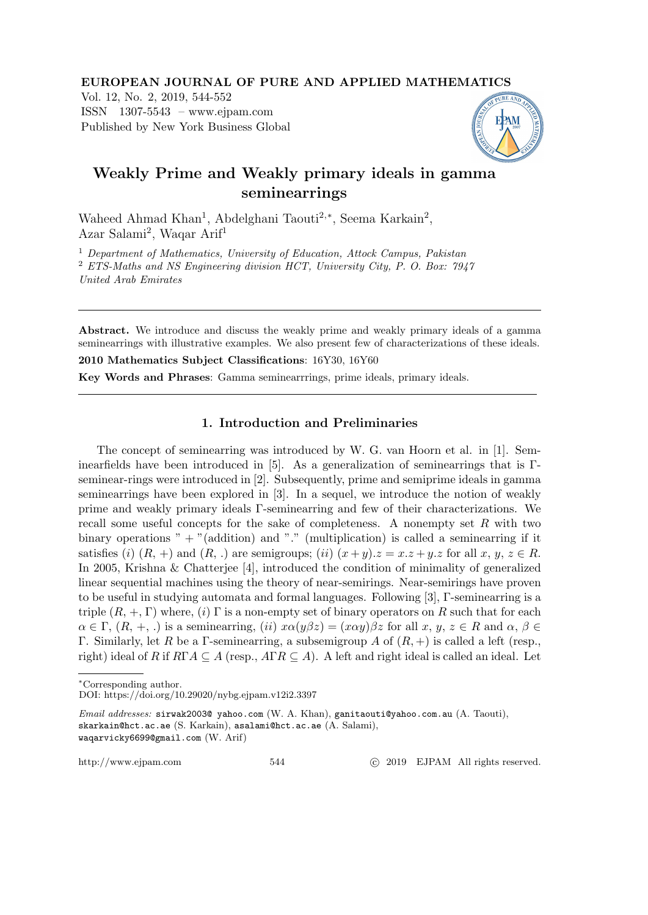#### EUROPEAN JOURNAL OF PURE AND APPLIED MATHEMATICS

Vol. 12, No. 2, 2019, 544-552 ISSN 1307-5543 – www.ejpam.com Published by New York Business Global



# Weakly Prime and Weakly primary ideals in gamma seminearrings

Waheed Ahmad Khan<sup>1</sup>, Abdelghani Taouti<sup>2,∗</sup>, Seema Karkain<sup>2</sup>, Azar Salami<sup>2</sup>, Waqar Arif<sup>1</sup>

<sup>1</sup> Department of Mathematics, University of Education, Attock Campus, Pakistan <sup>2</sup> ETS-Maths and NS Engineering division HCT, University City, P. O. Box: 7947 United Arab Emirates

Abstract. We introduce and discuss the weakly prime and weakly primary ideals of a gamma seminearrings with illustrative examples. We also present few of characterizations of these ideals.

2010 Mathematics Subject Classifications: 16Y30, 16Y60

Key Words and Phrases: Gamma seminearrrings, prime ideals, primary ideals.

## 1. Introduction and Preliminaries

The concept of seminearring was introduced by W. G. van Hoorn et al. in [1]. Seminearfields have been introduced in [5]. As a generalization of seminearrings that is Γseminear-rings were introduced in [2]. Subsequently, prime and semiprime ideals in gamma seminearrings have been explored in [3]. In a sequel, we introduce the notion of weakly prime and weakly primary ideals Γ-seminearring and few of their characterizations. We recall some useful concepts for the sake of completeness. A nonempty set  $R$  with two binary operations "  $+$  "(addition) and "." (multiplication) is called a seminearring if it satisfies (i)  $(R, +)$  and  $(R, .)$  are semigroups; (ii)  $(x + y)z = xz + yz$  for all x,  $y, z \in R$ . In 2005, Krishna & Chatterjee [4], introduced the condition of minimality of generalized linear sequential machines using the theory of near-semirings. Near-semirings have proven to be useful in studying automata and formal languages. Following [3], Γ-seminearring is a triple  $(R, +, \Gamma)$  where, (i)  $\Gamma$  is a non-empty set of binary operators on R such that for each  $\alpha \in \Gamma$ ,  $(R, +, \cdot)$  is a seminearring,  $(ii)$   $x\alpha(y\beta z) = (x\alpha y)\beta z$  for all  $x, y, z \in R$  and  $\alpha, \beta \in$ Γ. Similarly, let R be a Γ-seminearring, a subsemigroup A of  $(R,+)$  is called a left (resp., right) ideal of R if  $R\Gamma A \subseteq A$  (resp.,  $A\Gamma R \subseteq A$ ). A left and right ideal is called an ideal. Let

http://www.ejpam.com 544 
c 2019 EJPAM All rights reserved.

<sup>∗</sup>Corresponding author.

DOI: https://doi.org/10.29020/nybg.ejpam.v12i2.3397

Email addresses: sirwak2003@ yahoo.com (W. A. Khan), ganitaouti@yahoo.com.au (A. Taouti), skarkain@hct.ac.ae (S. Karkain), asalami@hct.ac.ae (A. Salami), waqarvicky6699@gmail.com (W. Arif)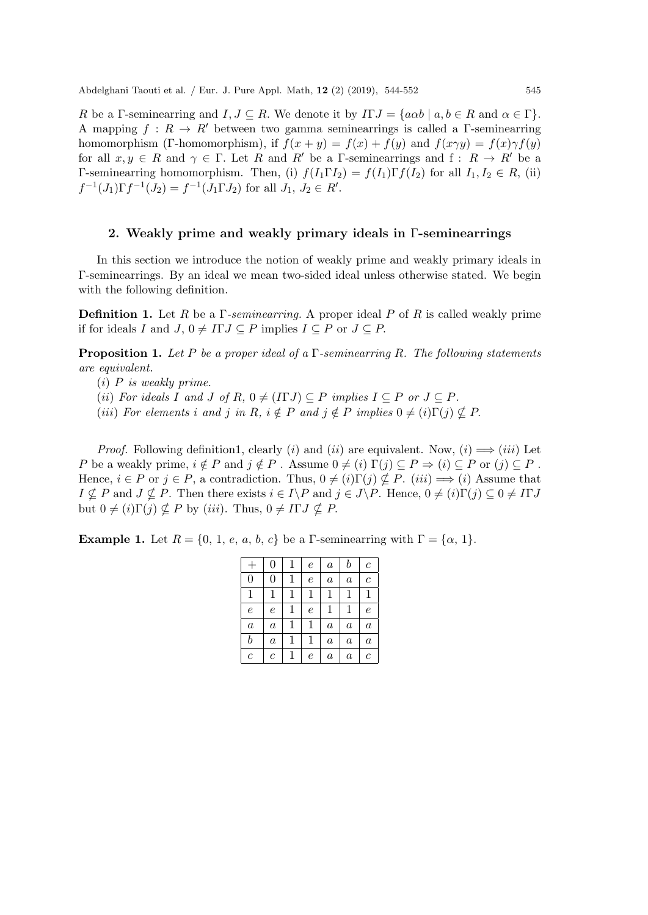R be a Γ-seminearring and  $I, J \subseteq R$ . We denote it by  $ITJ = \{a\alpha b \mid a, b \in R \text{ and } \alpha \in \Gamma\}$ . A mapping  $f: R \to R'$  between two gamma seminearrings is called a Γ-seminearring homomorphism (Γ-homomorphism), if  $f(x + y) = f(x) + f(y)$  and  $f(x \gamma y) = f(x) \gamma f(y)$ for all  $x, y \in R$  and  $\gamma \in \Gamma$ . Let R and R' be a Γ-seminearrings and f:  $R \to R'$  be a Γ-seminearring homomorphism. Then, (i)  $f(I_1 \Gamma I_2) = f(I_1) \Gamma f(I_2)$  for all  $I_1, I_2 \in R$ , (ii)  $f^{-1}(J_1)\Gamma f^{-1}(J_2) = f^{-1}(J_1\Gamma J_2)$  for all  $J_1, J_2 \in R'.$ 

#### 2. Weakly prime and weakly primary ideals in Γ-seminearrings

In this section we introduce the notion of weakly prime and weakly primary ideals in Γ-seminearrings. By an ideal we mean two-sided ideal unless otherwise stated. We begin with the following definition.

**Definition 1.** Let R be a  $\Gamma$ -seminearring. A proper ideal P of R is called weakly prime if for ideals I and  $J, 0 \neq I\Gamma J \subseteq P$  implies  $I \subseteq P$  or  $J \subseteq P$ .

**Proposition 1.** Let P be a proper ideal of a  $\Gamma$ -seminearring R. The following statements are equivalent.

- $(i)$  P is weakly prime.
- (ii) For ideals I and J of R,  $0 \neq (\text{ITJ}) \subseteq P$  implies  $I \subseteq P$  or  $J \subseteq P$ .
- (iii) For elements i and j in R,  $i \notin P$  and  $j \notin P$  implies  $0 \neq (i)\Gamma(j) \not\subseteq P$ .

*Proof.* Following definition1, clearly (i) and (ii) are equivalent. Now, (i)  $\implies$  (iii) Let P be a weakly prime,  $i \notin P$  and  $j \notin P$ . Assume  $0 \neq (i)$   $\Gamma(j) \subseteq P \Rightarrow (i) \subseteq P$  or  $(j) \subseteq P$ . Hence,  $i \in P$  or  $j \in P$ , a contradiction. Thus,  $0 \neq (i) \Gamma(j) \nsubseteq P$ .  $(iii) \implies (i)$  Assume that  $I \nsubseteq P$  and  $J \nsubseteq P$ . Then there exists  $i \in I \backslash P$  and  $j \in J \backslash P$ . Hence,  $0 \neq (i) \Gamma(j) \subseteq 0 \neq I\Gamma J$ but  $0 \neq (i) \Gamma(j) \nsubseteq P$  by  $(iii)$ . Thus,  $0 \neq I \Gamma J \nsubseteq P$ .

**Example 1.** Let  $R = \{0, 1, e, a, b, c\}$  be a Γ-seminearring with  $\Gamma = \{\alpha, 1\}.$ 

|                  | 0                |   | е          | $\boldsymbol{a}$ | b                | $\mathcal C$     |
|------------------|------------------|---|------------|------------------|------------------|------------------|
| 0                | 0                | 1 | $\epsilon$ | $\it a$          | $\boldsymbol{a}$ | $\mathcal C$     |
| 1                | 1                |   | 1          | 1                | 1                | 1                |
| $\epsilon$       | $\epsilon$       | 1 | е          | 1                | $\mathbf 1$      | $\epsilon$       |
| $\boldsymbol{a}$ | $\it a$          | 1 | 1          | $\boldsymbol{a}$ | $\boldsymbol{a}$ | $\boldsymbol{a}$ |
| $\it b$          | $\boldsymbol{a}$ | 1 | 1          | $\boldsymbol{a}$ | $\boldsymbol{a}$ | $\boldsymbol{a}$ |
| $\overline{c}$   | $\boldsymbol{c}$ |   | е          | $\it a$          | $\it a$          | $\mathcal C$     |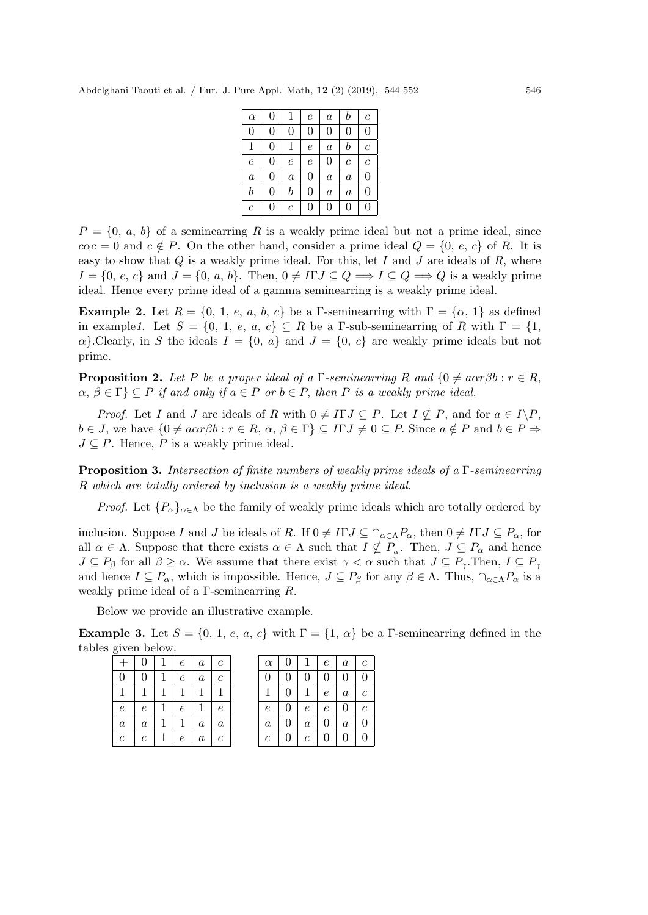| $\boldsymbol{b}$<br>$\overline{0}$<br>1<br>$\epsilon$<br>$\alpha$<br>$\boldsymbol{a}$                    | $\boldsymbol{c}$      |
|----------------------------------------------------------------------------------------------------------|-----------------------|
|                                                                                                          |                       |
| $\overline{0}$<br>$\overline{0}$<br>$\overline{0}$<br>$\overline{0}$<br>$\overline{0}$<br>$\overline{0}$ | $\overline{0}$        |
| $\boldsymbol{b}$<br>$\mathbf{1}$<br>$\overline{0}$<br>1<br>$\epsilon$<br>$\boldsymbol{a}$                | $\overline{c}$        |
| $\overline{0}$<br>$\overline{0}$<br>$\epsilon$<br>$\epsilon$<br>$\epsilon$<br>$\mathcal C$               | $\mathcal{C}_{0}^{0}$ |
| $\overline{0}$<br>$\overline{0}$<br>$\boldsymbol{a}$<br>$\boldsymbol{a}$<br>$\boldsymbol{a}$<br>$\it a$  | $\overline{0}$        |
| $\boldsymbol{b}$<br>$\it b$<br>$\overline{0}$<br>0<br>$\boldsymbol{a}$<br>$\overline{a}$                 | 0                     |
| $\overline{0}$<br>0<br>0<br>0<br>$\mathcal C$<br>$\boldsymbol{c}$                                        | 0                     |

 $P = \{0, a, b\}$  of a seminearring R is a weakly prime ideal but not a prime ideal, since  $c\alpha c = 0$  and  $c \notin P$ . On the other hand, consider a prime ideal  $Q = \{0, e, c\}$  of R. It is easy to show that  $Q$  is a weakly prime ideal. For this, let I and J are ideals of  $R$ , where  $I = \{0, e, c\}$  and  $J = \{0, a, b\}$ . Then,  $0 \neq I\Gamma J \subseteq Q \Longrightarrow I \subseteq Q \Longrightarrow Q$  is a weakly prime ideal. Hence every prime ideal of a gamma seminearring is a weakly prime ideal.

**Example 2.** Let  $R = \{0, 1, e, a, b, c\}$  be a Γ-seminearring with  $\Gamma = \{\alpha, 1\}$  as defined in example1. Let  $S = \{0, 1, e, a, c\} \subseteq R$  be a Γ-sub-seminearring of R with  $\Gamma = \{1,$  $\alpha$ . Clearly, in S the ideals  $I = \{0, a\}$  and  $J = \{0, c\}$  are weakly prime ideals but not prime.

**Proposition 2.** Let P be a proper ideal of a  $\Gamma$ -seminearring R and  $\{0 \neq a\alpha r\beta b : r \in R$ .  $\alpha, \beta \in \Gamma$   $\subseteq$  P if and only if  $a \in P$  or  $b \in P$ , then P is a weakly prime ideal.

*Proof.* Let I and J are ideals of R with  $0 \neq I\Gamma J \subseteq P$ . Let  $I \nsubseteq P$ , and for  $a \in I \backslash P$ ,  $b \in J$ , we have  $\{0 \neq a\alpha r\beta b : r \in R, \alpha, \beta \in \Gamma\} \subseteq \Pi J \neq 0 \subseteq P$ . Since  $a \notin P$  and  $b \in P \Rightarrow$  $J \subseteq P$ . Hence, P is a weakly prime ideal.

**Proposition 3.** Intersection of finite numbers of weakly prime ideals of a  $\Gamma$ -seminearring R which are totally ordered by inclusion is a weakly prime ideal.

*Proof.* Let  ${P_\alpha}_{\alpha \in \Lambda}$  be the family of weakly prime ideals which are totally ordered by

inclusion. Suppose I and J be ideals of R. If  $0 \neq I\Gamma J \subseteq \bigcap_{\alpha \in \Lambda} P_{\alpha}$ , then  $0 \neq I\Gamma J \subseteq P_{\alpha}$ , for all  $\alpha \in \Lambda$ . Suppose that there exists  $\alpha \in \Lambda$  such that  $I \nsubseteq P_{\alpha}$ . Then,  $J \subseteq P_{\alpha}$  and hence  $J \subseteq P_\beta$  for all  $\beta \geq \alpha$ . We assume that there exist  $\gamma < \alpha$  such that  $J \subseteq P_\gamma$ . Then,  $I \subseteq P_\gamma$ and hence  $I \subseteq P_\alpha$ , which is impossible. Hence,  $J \subseteq P_\beta$  for any  $\beta \in \Lambda$ . Thus,  $\bigcap_{\alpha \in \Lambda} P_\alpha$  is a weakly prime ideal of a Γ-seminearring R.

Below we provide an illustrative example.

**Example 3.** Let  $S = \{0, 1, e, a, c\}$  with  $\Gamma = \{1, \alpha\}$  be a Γ-seminearring defined in the tables given below.

|                  | $\Omega$         | -1 | e                | $\boldsymbol{a}$ | $\mathfrak{c}$   | $\alpha$         | $\overline{0}$ |  |
|------------------|------------------|----|------------------|------------------|------------------|------------------|----------------|--|
| $\overline{0}$   | 0                |    | $\boldsymbol{e}$ | $\boldsymbol{a}$ | $\mathfrak c$    |                  | $\mathbf{0}$   |  |
| 1                |                  |    | 1                |                  |                  |                  | $\Omega$       |  |
| е                | $\epsilon$       |    | $\epsilon$       |                  | $\epsilon$       | $\epsilon$       | $\theta$       |  |
| $\boldsymbol{a}$ | $\boldsymbol{a}$ |    | 1                | $\boldsymbol{a}$ | $\boldsymbol{a}$ | $\boldsymbol{a}$ | $\theta$       |  |
| $\,c\,$          | $\mathfrak c$    |    | $\epsilon$       | $\boldsymbol{a}$ | $\boldsymbol{c}$ | $\mathfrak{c}$   | $\theta$       |  |

| $\alpha$         | 0              | 1              | $\epsilon$     | $\boldsymbol{a}$ | $\boldsymbol{c}$ |
|------------------|----------------|----------------|----------------|------------------|------------------|
| $\overline{0}$   | 0              | 0              | $\overline{0}$ | $\overline{0}$   | 0                |
| 1                | 0              | 1              | $\epsilon$     | $\boldsymbol{a}$ | $\mathfrak c$    |
| $\epsilon$       | 0              | $\epsilon$     | $\epsilon$     | 0                | $\overline{c}$   |
| $\boldsymbol{a}$ | $\overline{0}$ | $\overline{a}$ | $\overline{0}$ | $\boldsymbol{a}$ | 0                |
| $\overline{c}$   | 0              | $\,c\,$        | $\overline{0}$ | $\overline{0}$   | 0                |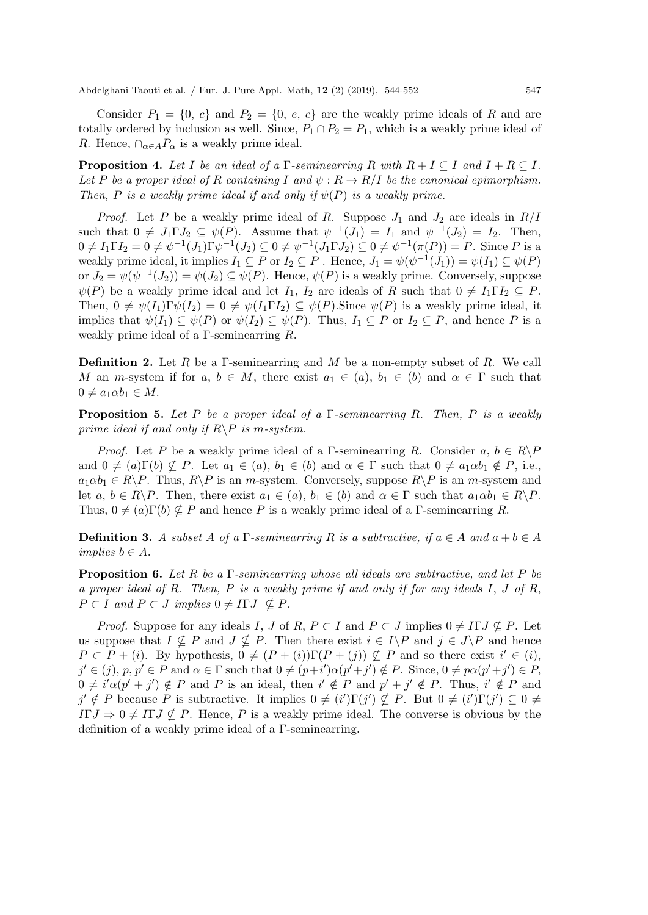Consider  $P_1 = \{0, c\}$  and  $P_2 = \{0, e, c\}$  are the weakly prime ideals of R and are totally ordered by inclusion as well. Since,  $P_1 \cap P_2 = P_1$ , which is a weakly prime ideal of R. Hence,  $\cap_{\alpha \in A} P_{\alpha}$  is a weakly prime ideal.

**Proposition 4.** Let I be an ideal of a  $\Gamma$ -seminearring R with  $R + I \subseteq I$  and  $I + R \subseteq I$ . Let P be a proper ideal of R containing I and  $\psi : R \to R/I$  be the canonical epimorphism. Then, P is a weakly prime ideal if and only if  $\psi(P)$  is a weakly prime.

*Proof.* Let P be a weakly prime ideal of R. Suppose  $J_1$  and  $J_2$  are ideals in  $R/I$ such that  $0 \neq J_1 \Gamma J_2 \subseteq \psi(P)$ . Assume that  $\psi^{-1}(J_1) = I_1$  and  $\psi^{-1}(J_2) = I_2$ . Then,  $0 \neq I_1 \Gamma I_2 = 0 \neq \psi^{-1}(J_1) \Gamma \psi^{-1}(J_2) \subseteq 0 \neq \psi^{-1}(J_1 \Gamma J_2) \subseteq 0 \neq \psi^{-1}(\pi(P)) = P$ . Since P is a weakly prime ideal, it implies  $I_1 \subseteq P$  or  $I_2 \subseteq P$ . Hence,  $J_1 = \psi(\psi^{-1}(J_1)) = \psi(I_1) \subseteq \psi(P)$ or  $J_2 = \psi(\psi^{-1}(J_2)) = \psi(J_2) \subseteq \psi(P)$ . Hence,  $\psi(P)$  is a weakly prime. Conversely, suppose  $\psi(P)$  be a weakly prime ideal and let  $I_1$ ,  $I_2$  are ideals of R such that  $0 \neq I_1 \Gamma I_2 \subseteq P$ . Then,  $0 \neq \psi(I_1)\Gamma\psi(I_2) = 0 \neq \psi(I_1\Gamma I_2) \subseteq \psi(P)$ . Since  $\psi(P)$  is a weakly prime ideal, it implies that  $\psi(I_1) \subseteq \psi(P)$  or  $\psi(I_2) \subseteq \psi(P)$ . Thus,  $I_1 \subseteq P$  or  $I_2 \subseteq P$ , and hence P is a weakly prime ideal of a Γ-seminearring R.

**Definition 2.** Let R be a Γ-seminearring and M be a non-empty subset of R. We call M an m-system if for  $a, b \in M$ , there exist  $a_1 \in (a), b_1 \in (b)$  and  $\alpha \in \Gamma$  such that  $0 \neq a_1 \alpha b_1 \in M$ .

**Proposition 5.** Let P be a proper ideal of a  $\Gamma$ -seminearring R. Then, P is a weakly prime ideal if and only if  $R \backslash P$  is m-system.

*Proof.* Let P be a weakly prime ideal of a Γ-seminearring R. Consider a,  $b \in R \backslash P$ and  $0 \neq (a)\Gamma(b) \nsubseteq P$ . Let  $a_1 \in (a), b_1 \in (b)$  and  $\alpha \in \Gamma$  such that  $0 \neq a_1 \alpha b_1 \notin P$ , i.e.,  $a_1 \alpha b_1 \in R \backslash P$ . Thus,  $R \backslash P$  is an m-system. Conversely, suppose  $R \backslash P$  is an m-system and let  $a, b \in R \backslash P$ . Then, there exist  $a_1 \in (a), b_1 \in (b)$  and  $\alpha \in \Gamma$  such that  $a_1 \alpha b_1 \in R \backslash P$ . Thus,  $0 \neq (a)\Gamma(b) \nsubseteq P$  and hence P is a weakly prime ideal of a Γ-seminearring R.

**Definition 3.** A subset A of a Γ-seminearring R is a subtractive, if  $a \in A$  and  $a + b \in A$ implies  $b \in A$ .

**Proposition 6.** Let R be a  $\Gamma$ -seminearring whose all ideals are subtractive, and let P be a proper ideal of R. Then,  $P$  is a weakly prime if and only if for any ideals  $I, J$  of  $R$ ,  $P \subset I$  and  $P \subset J$  implies  $0 \neq I \Gamma J \nsubseteq P$ .

*Proof.* Suppose for any ideals I, J of R,  $P \subset I$  and  $P \subset J$  implies  $0 \neq I \Gamma J \nsubseteq P$ . Let us suppose that  $I \nsubseteq P$  and  $J \nsubseteq P$ . Then there exist  $i \in I \backslash P$  and  $j \in J \backslash P$  and hence  $P \subset P + (i)$ . By hypothesis,  $0 \neq (P + (i))\Gamma(P + (j)) \nsubseteq P$  and so there exist  $i' \in (i)$ ,  $j' \in (j), p, p' \in P$  and  $\alpha \in \Gamma$  such that  $0 \neq (p+i')\alpha(p'+j') \notin P$ . Since,  $0 \neq p\alpha(p'+j') \in P$ ,  $0 \neq i' \alpha (p' + j') \notin P$  and P is an ideal, then  $i' \notin P$  and  $p' + j' \notin P$ . Thus,  $i' \notin P$  and  $j' \notin P$  because P is subtractive. It implies  $0 \neq (i')\Gamma(j') \nsubseteq P$ . But  $0 \neq (i')\Gamma(j') \subseteq 0 \neq$  $I\Gamma J \Rightarrow 0 \neq I\Gamma J \nsubseteq P$ . Hence, P is a weakly prime ideal. The converse is obvious by the definition of a weakly prime ideal of a Γ-seminearring.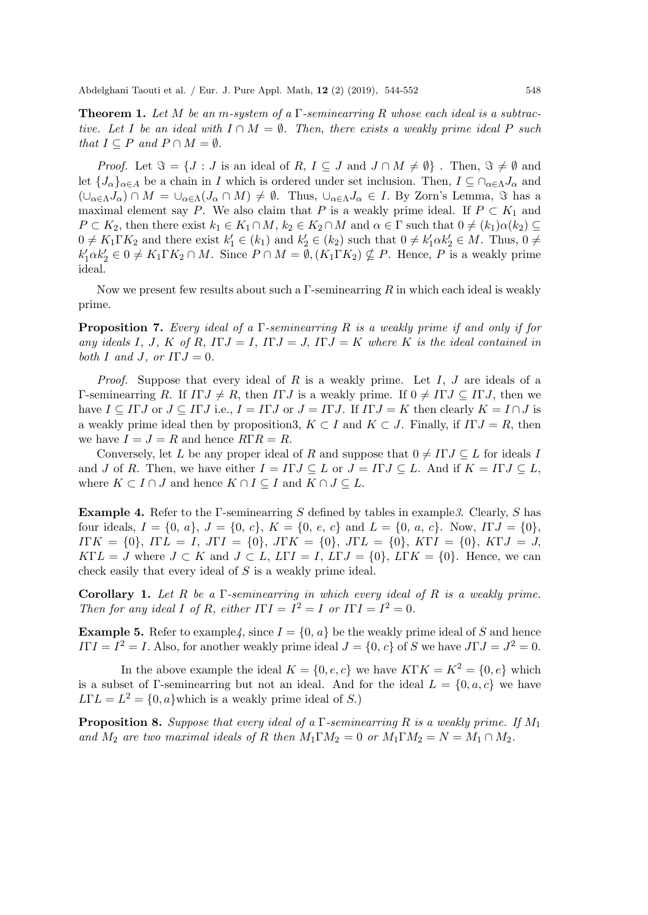**Theorem 1.** Let M be an m-system of a  $\Gamma$ -seminearring R whose each ideal is a subtractive. Let I be an ideal with  $I \cap M = \emptyset$ . Then, there exists a weakly prime ideal P such that  $I \subseteq P$  and  $P \cap M = \emptyset$ .

*Proof.* Let  $\Im = \{J : J \text{ is an ideal of } R, I \subseteq J \text{ and } J \cap M \neq \emptyset \}$ . Then,  $\Im \neq \emptyset$  and let  ${J_{\alpha}}_{\alpha\in A}$  be a chain in I which is ordered under set inclusion. Then,  $I \subseteq \bigcap_{\alpha\in \Lambda} J_{\alpha}$  and  $(\cup_{\alpha\in \Lambda}J_{\alpha})\cap M=\cup_{\alpha\in \Lambda}(J_{\alpha}\cap M)\neq \emptyset$ . Thus,  $\cup_{\alpha\in \Lambda}J_{\alpha}\in I$ . By Zorn's Lemma,  $\Im$  has a maximal element say P. We also claim that P is a weakly prime ideal. If  $P \subset K_1$  and  $P \subset K_2$ , then there exist  $k_1 \in K_1 \cap M$ ,  $k_2 \in K_2 \cap M$  and  $\alpha \in \Gamma$  such that  $0 \neq (k_1)\alpha(k_2) \subseteq$  $0 \neq K_1 \Gamma K_2$  and there exist  $k'_1 \in (k_1)$  and  $k'_2 \in (k_2)$  such that  $0 \neq k'_1 \alpha k'_2 \in M$ . Thus,  $0 \neq$  $k'_1 \alpha k'_2 \in 0 \neq K_1 \Gamma K_2 \cap M$ . Since  $P \cap M = \emptyset$ ,  $(K_1 \Gamma K_2) \nsubseteq P$ . Hence, P is a weakly prime ideal.

Now we present few results about such a  $\Gamma$ -seminearring  $R$  in which each ideal is weakly prime.

**Proposition 7.** Every ideal of a  $\Gamma$ -seminearring R is a weakly prime if and only if for any ideals I, J, K of R,  $\Gamma J = I$ ,  $\Gamma J = J$ ,  $\Gamma J = K$  where K is the ideal contained in both I and J, or  $I\Gamma J = 0$ .

*Proof.* Suppose that every ideal of R is a weakly prime. Let I, J are ideals of a Γ-seminearring R. If  $ITJ \neq R$ , then IΓJ is a weakly prime. If  $0 \neq I\Gamma J \subseteq I\Gamma J$ , then we have  $I \subseteq \Pi J$  or  $J \subseteq \Pi J$  i.e.,  $I = \Pi J$  or  $J = \Pi J$ . If  $\Pi J = K$  then clearly  $K = I \cap J$  is a weakly prime ideal then by proposition3,  $K \subset I$  and  $K \subset J$ . Finally, if  $\Gamma I = R$ , then we have  $I = J = R$  and hence  $R\Gamma R = R$ .

Conversely, let L be any proper ideal of R and suppose that  $0 \neq I\Gamma J \subseteq L$  for ideals I and J of R. Then, we have either  $I = \Pi J \subseteq L$  or  $J = \Pi J \subseteq L$ . And if  $K = \Pi J \subseteq L$ , where  $K \subset I \cap J$  and hence  $K \cap I \subseteq I$  and  $K \cap J \subseteq L$ .

**Example 4.** Refer to the Γ-seminearring S defined by tables in example 3. Clearly, S has four ideals,  $I = \{0, a\}, J = \{0, c\}, K = \{0, e, c\}$  and  $L = \{0, a, c\}.$  Now,  $ITJ = \{0\},$  $I\Gamma K = \{0\}, I\Gamma L = I, J\Gamma I = \{0\}, J\Gamma K = \{0\}, J\Gamma L = \{0\}, K\Gamma I = \{0\}, K\Gamma J = J,$  $K\Gamma L = J$  where  $J \subset K$  and  $J \subset L$ ,  $L\Gamma I = I$ ,  $L\Gamma J = \{0\}$ ,  $L\Gamma K = \{0\}$ . Hence, we can check easily that every ideal of S is a weakly prime ideal.

**Corollary 1.** Let R be a  $\Gamma$ -seminearring in which every ideal of R is a weakly prime. Then for any ideal I of R, either  $I\Gamma I = I^2 = I$  or  $I\Gamma I = I^2 = 0$ .

**Example 5.** Refer to example 4, since  $I = \{0, a\}$  be the weakly prime ideal of S and hence  $I\Gamma I = I^2 = I$ . Also, for another weakly prime ideal  $J = \{0, c\}$  of S we have  $J\Gamma J = J^2 = 0$ .

In the above example the ideal  $K = \{0, e, c\}$  we have  $K\Gamma K = K^2 = \{0, e\}$  which is a subset of Γ-seminearring but not an ideal. And for the ideal  $L = \{0, a, c\}$  we have  $L\Gamma L = L^2 = \{0, a\}$  which is a weakly prime ideal of S.)

**Proposition 8.** Suppose that every ideal of a  $\Gamma$ -seminearring R is a weakly prime. If  $M_1$ and  $M_2$  are two maximal ideals of R then  $M_1 \Gamma M_2 = 0$  or  $M_1 \Gamma M_2 = N = M_1 \cap M_2$ .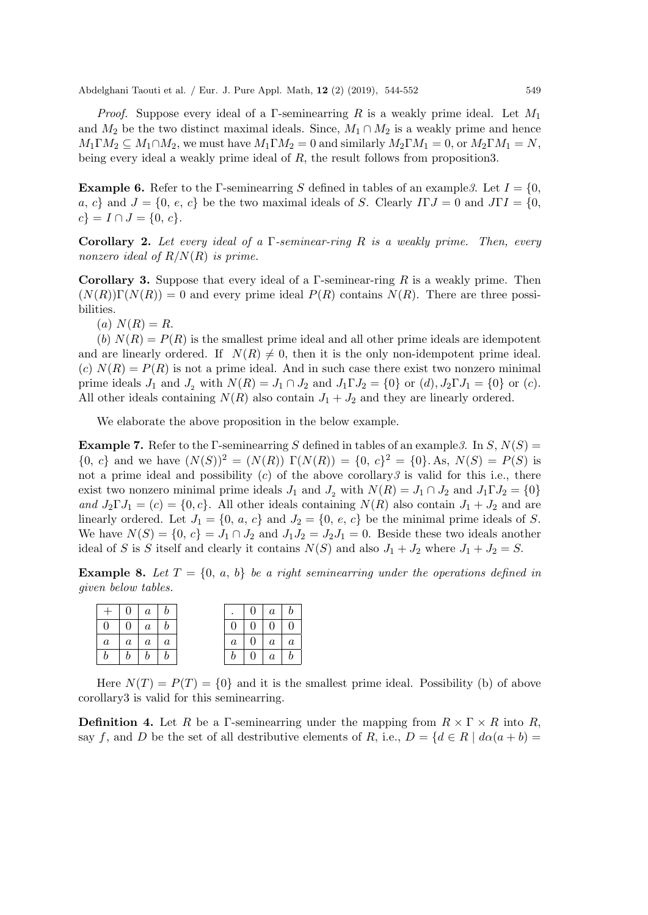Abdelghani Taouti et al. / Eur. J. Pure Appl. Math, 12 (2) (2019), 544-552 549

*Proof.* Suppose every ideal of a Γ-seminearring R is a weakly prime ideal. Let  $M_1$ and  $M_2$  be the two distinct maximal ideals. Since,  $M_1 \cap M_2$  is a weakly prime and hence  $M_1 \Gamma M_2 \subseteq M_1 \cap M_2$ , we must have  $M_1 \Gamma M_2 = 0$  and similarly  $M_2 \Gamma M_1 = 0$ , or  $M_2 \Gamma M_1 = N$ , being every ideal a weakly prime ideal of R, the result follows from proposition3.

**Example 6.** Refer to the Γ-seminearring S defined in tables of an example 3. Let  $I = \{0,$ a, c} and  $J = \{0, e, c\}$  be the two maximal ideals of S. Clearly  $ITJ = 0$  and  $JTI = \{0,$  $c$ } =  $I \cap J = \{0, c\}.$ 

**Corollary 2.** Let every ideal of a  $\Gamma$ -seminear-ring R is a weakly prime. Then, every nonzero ideal of  $R/N(R)$  is prime.

**Corollary 3.** Suppose that every ideal of a  $\Gamma$ -seminear-ring  $R$  is a weakly prime. Then  $(N(R))\Gamma(N(R)) = 0$  and every prime ideal  $P(R)$  contains  $N(R)$ . There are three possibilities.

 $(a) N(R) = R.$ 

(b)  $N(R) = P(R)$  is the smallest prime ideal and all other prime ideals are idempotent and are linearly ordered. If  $N(R) \neq 0$ , then it is the only non-idempotent prime ideal. (c)  $N(R) = P(R)$  is not a prime ideal. And in such case there exist two nonzero minimal prime ideals  $J_1$  and  $J_2$  with  $N(R) = J_1 \cap J_2$  and  $J_1 \Gamma J_2 = \{0\}$  or  $(d), J_2 \Gamma J_1 = \{0\}$  or  $(c)$ . All other ideals containing  $N(R)$  also contain  $J_1 + J_2$  and they are linearly ordered.

We elaborate the above proposition in the below example.

**Example 7.** Refer to the Γ-seminearring S defined in tables of an example 3. In S,  $N(S)$  =  ${0, c}$  and we have  $(N(S))^2 = (N(R)) \Gamma(N(R)) = {0, c}^2 = {0}.$  As,  $N(S) = P(S)$  is not a prime ideal and possibility  $(c)$  of the above corollary 3 is valid for this i.e., there exist two nonzero minimal prime ideals  $J_1$  and  $J_2$  with  $N(R) = J_1 \cap J_2$  and  $J_1 \Gamma J_2 = \{0\}$ and  $J_2 \Gamma J_1 = (c) = \{0, c\}$ . All other ideals containing  $N(R)$  also contain  $J_1 + J_2$  and are linearly ordered. Let  $J_1 = \{0, a, c\}$  and  $J_2 = \{0, e, c\}$  be the minimal prime ideals of S. We have  $N(S) = \{0, c\} = J_1 \cap J_2$  and  $J_1 J_2 = J_2 J_1 = 0$ . Beside these two ideals another ideal of S is S itself and clearly it contains  $N(S)$  and also  $J_1 + J_2$  where  $J_1 + J_2 = S$ .

**Example 8.** Let  $T = \{0, a, b\}$  be a right seminearring under the operations defined in given below tables.

|          | $+ 0 a b$                |                |                | $0 \mid a \mid b$ |  |
|----------|--------------------------|----------------|----------------|-------------------|--|
| $\Omega$ |                          |                | 0 <sup>1</sup> | $0 \mid 0 \mid 0$ |  |
|          | $a \mid a \mid a \mid a$ |                | a <sub>1</sub> | $0 \mid a \mid a$ |  |
|          | $b \mid$                 | $\mathfrak{b}$ |                | $0 \mid a \mid b$ |  |

Here  $N(T) = P(T) = \{0\}$  and it is the smallest prime ideal. Possibility (b) of above corollary3 is valid for this seminearring.

**Definition 4.** Let R be a Γ-seminearring under the mapping from  $R \times \Gamma \times R$  into R, say f, and D be the set of all destributive elements of R, i.e.,  $D = \{d \in R \mid d\alpha(a+b) =$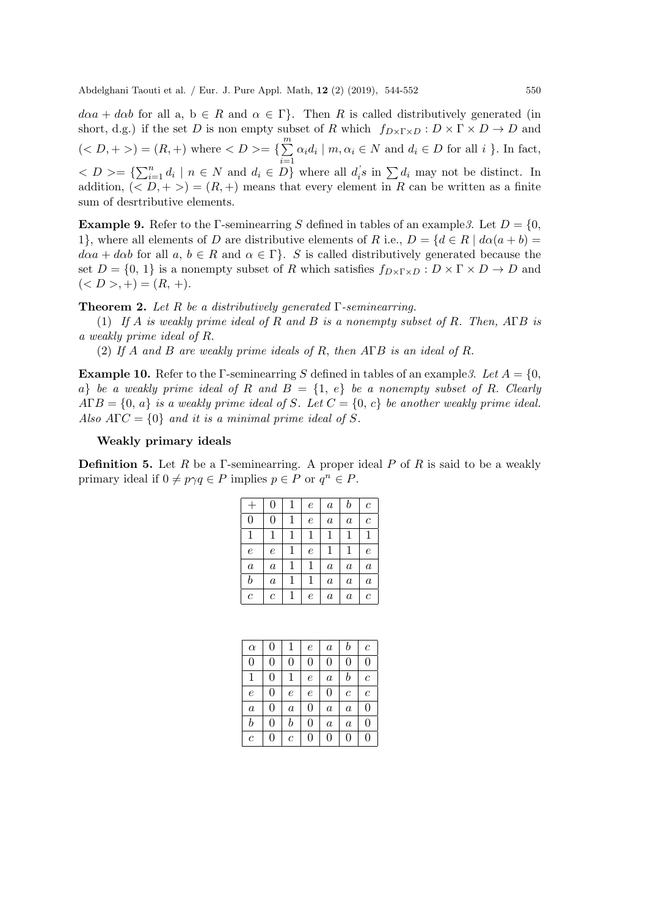$d\alpha a + d\alpha b$  for all a,  $b \in R$  and  $\alpha \in \Gamma$ . Then R is called distributively generated (in short, d.g.) if the set D is non empty subset of R which  $f_{D\times \Gamma\times D}: D\times \Gamma\times D \to D$  and  $(*D*, +>)=(R, +)$  where  $<{\it D}>=\{\sum_{i=1}^{m}$  $i=1$  $\alpha_i d_i \mid m, \alpha_i \in N$  and  $d_i \in D$  for all i }. In fact,  $\langle D \rangle = \sum_{i=1}^n d_i \mid n \in N$  and  $d_i \in D$  where all  $d_i$ 's in  $\sum d_i$  may not be distinct. In addition,  $( $D, +>$ ) =  $(R, +)$  means that every element in R can be written as a finite$ sum of desrtributive elements.

**Example 9.** Refer to the Γ-seminearring S defined in tables of an example 3. Let  $D = \{0,$ 1}, where all elements of D are distributive elements of R i.e.,  $D = \{d \in R \mid d\alpha(a+b) =$  $d\alpha a + d\alpha b$  for all  $a, b \in R$  and  $\alpha \in \Gamma$ . S is called distributively generated because the set  $D = \{0, 1\}$  is a nonempty subset of R which satisfies  $f_{D \times \Gamma \times D} : D \times \Gamma \times D \to D$  and  $(*D*>,+)=(R,+).$ 

**Theorem 2.** Let R be a distributively generated  $\Gamma$ -seminearring.

(1) If A is weakly prime ideal of R and B is a nonempty subset of R. Then,  $\angle A\Gamma B$  is a weakly prime ideal of R.

(2) If A and B are weakly prime ideals of R, then AΓB is an ideal of R.

**Example 10.** Refer to the Γ-seminearring S defined in tables of an example 3. Let  $A = \{0,$ a) be a weakly prime ideal of R and  $B = \{1, e\}$  be a nonempty subset of R. Clearly  $A\Gamma B = \{0, a\}$  is a weakly prime ideal of S. Let  $C = \{0, c\}$  be another weakly prime ideal. Also  $A\Gamma C = \{0\}$  and it is a minimal prime ideal of S.

#### Weakly primary ideals

**Definition 5.** Let R be a Γ-seminearring. A proper ideal P of R is said to be a weakly primary ideal if  $0 \neq p \gamma q \in P$  implies  $p \in P$  or  $q^n \in P$ .

|                  | $\overline{0}$   | 1 | $\epsilon$ | $\boldsymbol{a}$ | $_{b}$           | $\boldsymbol{c}$ |
|------------------|------------------|---|------------|------------------|------------------|------------------|
| $\overline{0}$   | $\overline{0}$   | 1 | $\epsilon$ | $\boldsymbol{a}$ | $\boldsymbol{a}$ | $\mathcal C$     |
| 1                | 1                | 1 | 1          | 1                | 1                | 1                |
| $\epsilon$       | $\epsilon$       | 1 | $\epsilon$ | 1                | 1                | $\epsilon$       |
| $\boldsymbol{a}$ | $\boldsymbol{a}$ | 1 | 1          | $\boldsymbol{a}$ | $\it a$          | $\it a$          |
| $\boldsymbol{b}$ | $\boldsymbol{a}$ | 1 | 1          | $\boldsymbol{a}$ | $\boldsymbol{a}$ | $\boldsymbol{a}$ |
| $\overline{c}$   | $\,c\,$          |   | $\epsilon$ | $\it a$          | $\it a$          | с                |

| $\alpha$     | 0              | 1                | $\epsilon$ | $\boldsymbol{a}$ | b                | $\mathcal C$ |
|--------------|----------------|------------------|------------|------------------|------------------|--------------|
| 0            | 0              | $\overline{0}$   | 0          | $\overline{0}$   | $\overline{0}$   | 0            |
| 1            | $\overline{0}$ | 1                | $\epsilon$ | $\it a$          | $\it b$          | $\mathcal C$ |
| $\epsilon$   | $\overline{0}$ | $\epsilon$       | $\epsilon$ | $\overline{0}$   | $\boldsymbol{c}$ | $\mathcal C$ |
| $\it a$      | $\overline{0}$ | $\boldsymbol{a}$ | 0          | $\boldsymbol{a}$ | $\it a$          | 0            |
| $\it b$      | $\overline{0}$ | $\it b$          | 0          | $\overline{a}$   | $\overline{a}$   | $\Omega$     |
| $\mathcal C$ | 0              | $\mathcal C$     | 0          | 0                | 0                | 0            |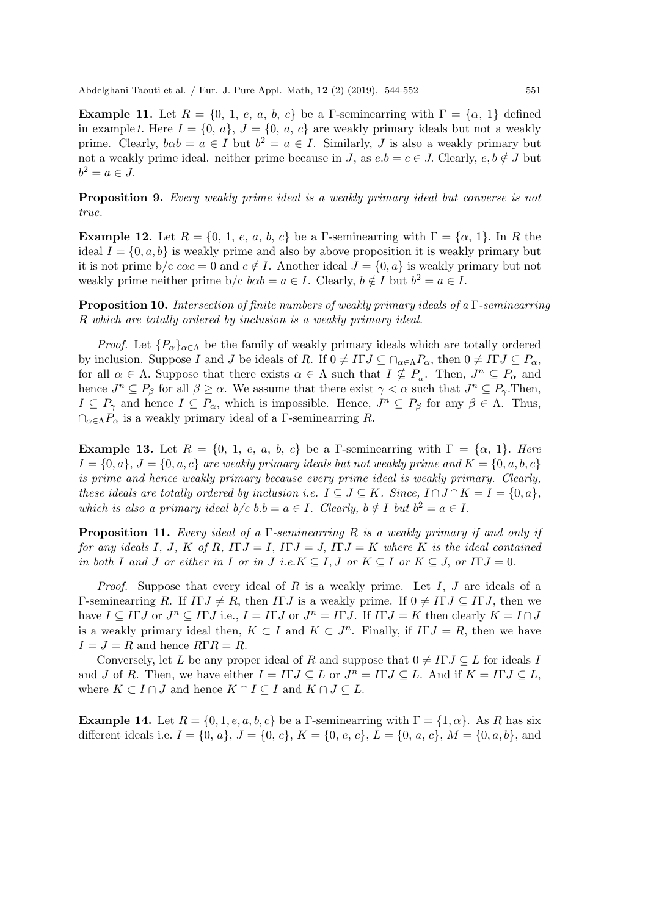Example 11. Let  $R = \{0, 1, e, a, b, c\}$  be a Γ-seminearring with  $\Gamma = \{\alpha, 1\}$  defined in example1. Here  $I = \{0, a\}, J = \{0, a, c\}$  are weakly primary ideals but not a weakly prime. Clearly,  $b\alpha b = a \in I$  but  $b^2 = a \in I$ . Similarly, J is also a weakly primary but not a weakly prime ideal. neither prime because in J, as  $e.b = c \in J$ . Clearly,  $e, b \notin J$  but  $b^2 = a \in J$ .

Proposition 9. Every weakly prime ideal is a weakly primary ideal but converse is not true.

**Example 12.** Let  $R = \{0, 1, e, a, b, c\}$  be a Γ-seminearring with  $\Gamma = \{\alpha, 1\}$ . In R the ideal  $I = \{0, a, b\}$  is weakly prime and also by above proposition it is weakly primary but it is not prime b/c  $c\alpha c = 0$  and  $c \notin I$ . Another ideal  $J = \{0, a\}$  is weakly primary but not weakly prime neither prime  $b/c \, b\alpha b = a \in I$ . Clearly,  $b \notin I$  but  $b^2 = a \in I$ .

**Proposition 10.** Intersection of finite numbers of weakly primary ideals of a  $\Gamma$ -seminearring R which are totally ordered by inclusion is a weakly primary ideal.

*Proof.* Let  $\{P_{\alpha}\}_{{\alpha}\in{\Lambda}}$  be the family of weakly primary ideals which are totally ordered by inclusion. Suppose I and J be ideals of R. If  $0 \neq I\Gamma J \subseteq \bigcap_{\alpha \in \Lambda} P_{\alpha}$ , then  $0 \neq I\Gamma J \subseteq P_{\alpha}$ , for all  $\alpha \in \Lambda$ . Suppose that there exists  $\alpha \in \Lambda$  such that  $I \nsubseteq P_{\alpha}$ . Then,  $J^n \subseteq P_{\alpha}$  and hence  $J^n \subseteq P_\beta$  for all  $\beta \geq \alpha$ . We assume that there exist  $\gamma < \alpha$  such that  $J^n \subseteq P_\gamma$ . Then,  $I \subseteq P_\gamma$  and hence  $I \subseteq P_\alpha$ , which is impossible. Hence,  $J^n \subseteq P_\beta$  for any  $\beta \in \Lambda$ . Thus,  $\cap_{\alpha \in \Lambda} P_{\alpha}$  is a weakly primary ideal of a Γ-seminearring R.

Example 13. Let  $R = \{0, 1, e, a, b, c\}$  be a Γ-seminearring with  $\Gamma = \{\alpha, 1\}$ . Here  $I = \{0, a\}, J = \{0, a, c\}$  are weakly primary ideals but not weakly prime and  $K = \{0, a, b, c\}$ is prime and hence weakly primary because every prime ideal is weakly primary. Clearly, these ideals are totally ordered by inclusion i.e.  $I \subseteq J \subseteq K$ . Since,  $I \cap J \cap K = I = \{0, a\},\$ which is also a primary ideal  $b/c$  b.b =  $a \in I$ . Clearly,  $b \notin I$  but  $b^2 = a \in I$ .

**Proposition 11.** Every ideal of a Γ-seminearring R is a weakly primary if and only if for any ideals I, J, K of R,  $\Gamma J = I$ ,  $\Gamma J = J$ ,  $\Gamma J = K$  where K is the ideal contained in both I and J or either in I or in J i.e.K  $\subseteq I, J$  or  $K \subseteq I$  or  $K \subseteq J$ , or  $\Pi J = 0$ .

*Proof.* Suppose that every ideal of R is a weakly prime. Let I, J are ideals of a Γ-seminearring R. If  $\Gamma J \neq R$ , then  $\Gamma J$  is a weakly prime. If  $0 \neq \Gamma J \subseteq \Gamma J$ , then we have  $I \subseteq \Pi J$  or  $J^n \subseteq \Pi J$  i.e.,  $I = \Pi J$  or  $J^n = \Pi J$ . If  $\Pi J = K$  then clearly  $K = I \cap J$ is a weakly primary ideal then,  $K \subset I$  and  $K \subset J^n$ . Finally, if  $\Gamma I = R$ , then we have  $I = J = R$  and hence  $R\Gamma R = R$ .

Conversely, let L be any proper ideal of R and suppose that  $0 \neq I\Gamma J \subseteq L$  for ideals I and *J* of *R*. Then, we have either  $I = I \Gamma J \subseteq L$  or  $J^n = I \Gamma J \subseteq L$ . And if  $K = I \Gamma J \subseteq L$ , where  $K \subset I \cap J$  and hence  $K \cap I \subseteq I$  and  $K \cap J \subseteq L$ .

**Example 14.** Let  $R = \{0, 1, e, a, b, c\}$  be a Γ-seminearring with  $\Gamma = \{1, \alpha\}$ . As R has six different ideals i.e.  $I = \{0, a\}, J = \{0, c\}, K = \{0, e, c\}, L = \{0, a, c\}, M = \{0, a, b\},$  and